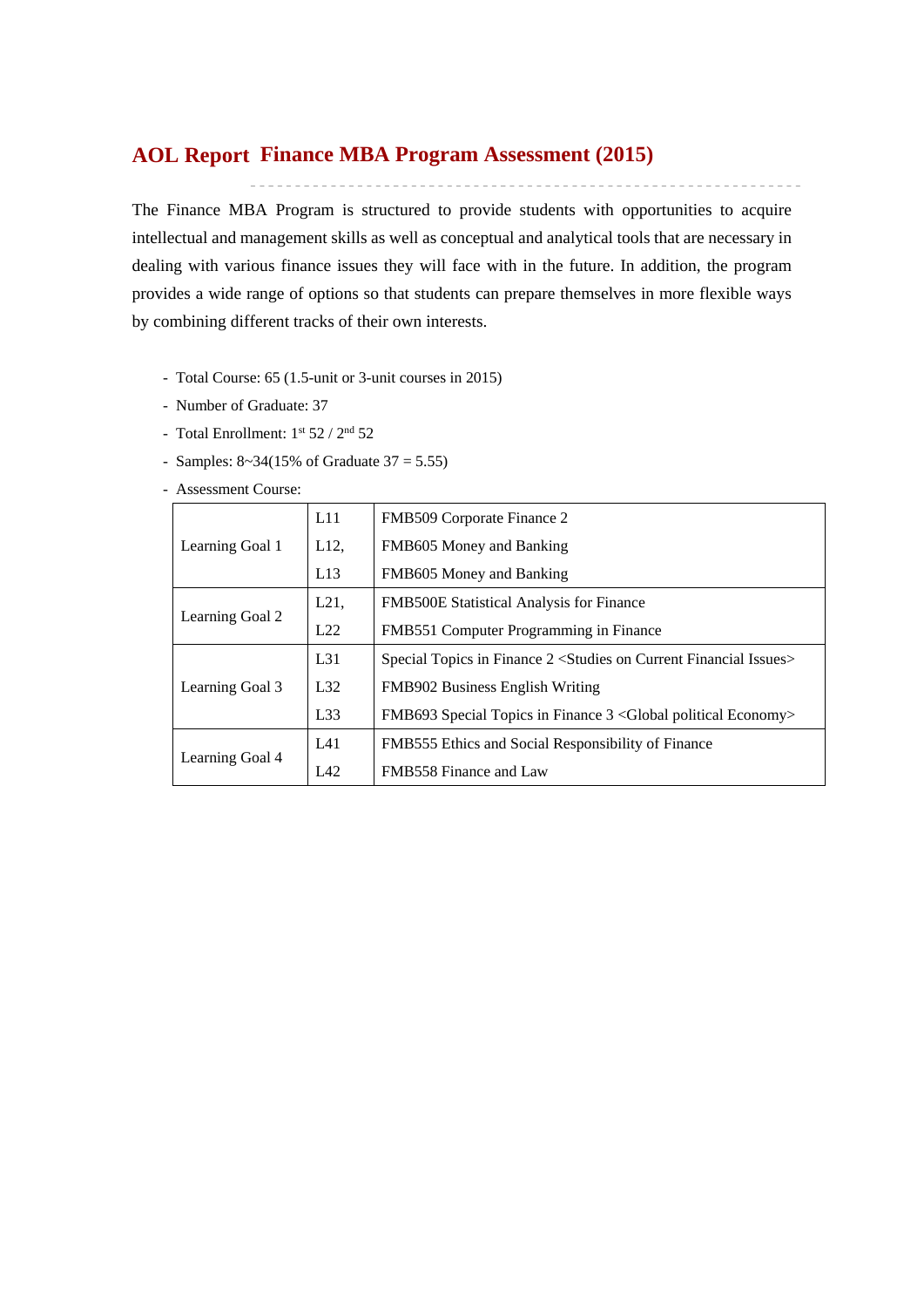## **Finance MBA Program Assessment (2015) AOL Report**

The Finance MBA Program is structured to provide students with opportunities to acquire intellectual and management skills as well as conceptual and analytical tools that are necessary in dealing with various finance issues they will face with in the future. In addition, the program provides a wide range of options so that students can prepare themselves in more flexible ways by combining different tracks of their own interests.

- Total Course: 65 (1.5-unit or 3-unit courses in 2015)
- Number of Graduate: 37
- Total Enrollment:  $1^{st}$  52 /  $2^{nd}$  52
- Samples:  $8 \times 34(15\% \text{ of } \text{Graduate } 37 = 5.55)$
- Assessment Course:

|                 | L11      | FMB509 Corporate Finance 2                                          |
|-----------------|----------|---------------------------------------------------------------------|
| Learning Goal 1 | $L12$ ,  | FMB605 Money and Banking                                            |
|                 | L13      | FMB605 Money and Banking                                            |
| Learning Goal 2 | L21,     | <b>FMB500E Statistical Analysis for Finance</b>                     |
|                 | L22      | FMB551 Computer Programming in Finance                              |
|                 | $L_{31}$ | Special Topics in Finance 2 < Studies on Current Financial Issues > |
| Learning Goal 3 | L32      | FMB902 Business English Writing                                     |
|                 | L33      | FMB693 Special Topics in Finance 3 < Global political Economy>      |
|                 | L41      | FMB555 Ethics and Social Responsibility of Finance                  |
| Learning Goal 4 | L42      | FMB558 Finance and Law                                              |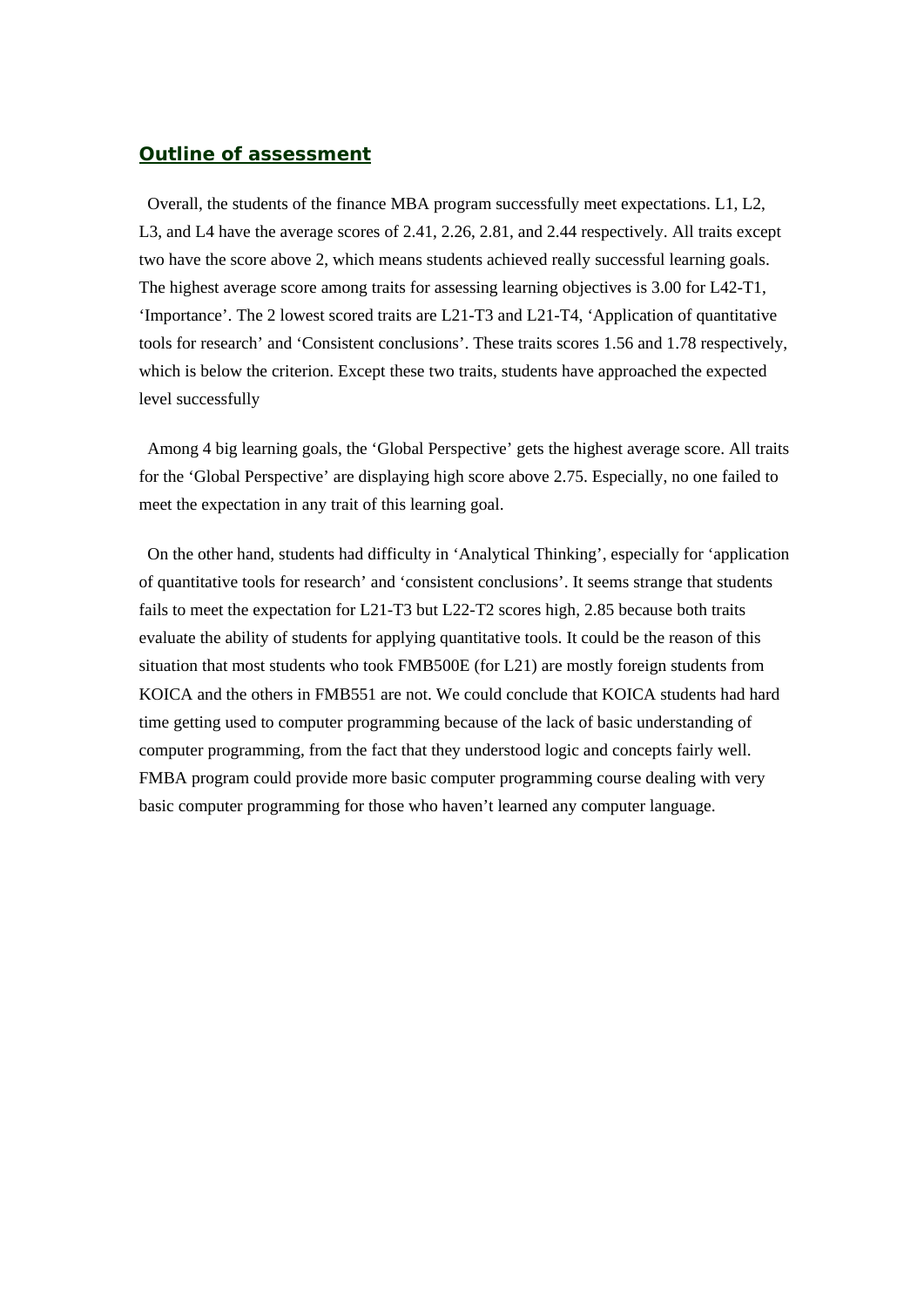### *Outline of assessment*

 Overall, the students of the finance MBA program successfully meet expectations. L1, L2, L3, and L4 have the average scores of 2.41, 2.26, 2.81, and 2.44 respectively. All traits except two have the score above 2, which means students achieved really successful learning goals. The highest average score among traits for assessing learning objectives is 3.00 for L42-T1, 'Importance'. The 2 lowest scored traits are L21-T3 and L21-T4, 'Application of quantitative tools for research' and 'Consistent conclusions'. These traits scores 1.56 and 1.78 respectively, which is below the criterion. Except these two traits, students have approached the expected level successfully

 Among 4 big learning goals, the 'Global Perspective' gets the highest average score. All traits for the 'Global Perspective' are displaying high score above 2.75. Especially, no one failed to meet the expectation in any trait of this learning goal.

 On the other hand, students had difficulty in 'Analytical Thinking', especially for 'application of quantitative tools for research' and 'consistent conclusions'. It seems strange that students fails to meet the expectation for L21-T3 but L22-T2 scores high, 2.85 because both traits evaluate the ability of students for applying quantitative tools. It could be the reason of this situation that most students who took FMB500E (for L21) are mostly foreign students from KOICA and the others in FMB551 are not. We could conclude that KOICA students had hard time getting used to computer programming because of the lack of basic understanding of computer programming, from the fact that they understood logic and concepts fairly well. FMBA program could provide more basic computer programming course dealing with very basic computer programming for those who haven't learned any computer language.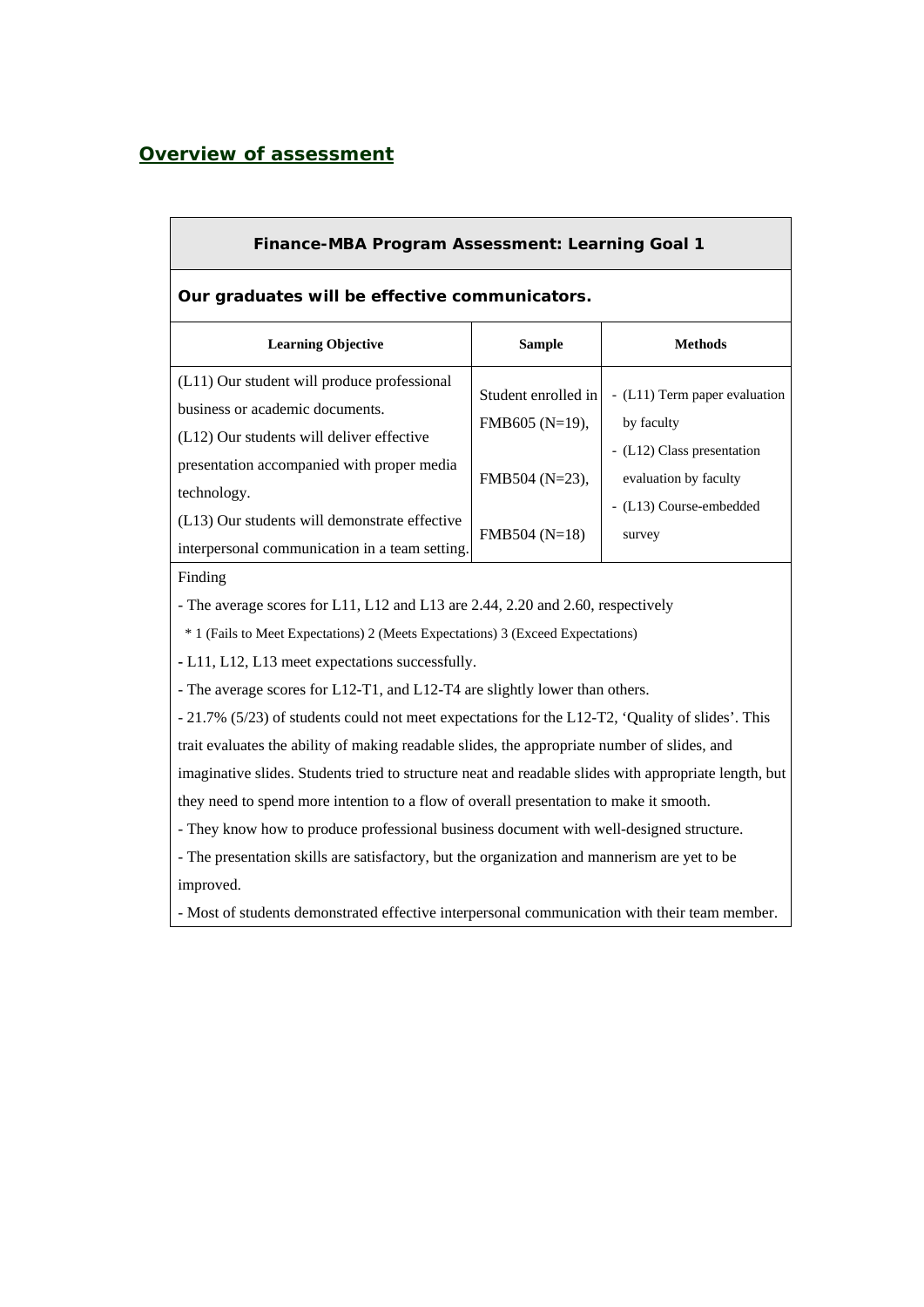## *Overview of assessment*

| <b>Finance-MBA Program Assessment: Learning Goal 1</b>                                                                                                                                                                                                                                                                             |                                       |                                                                           |  |  |  |  |  |  |  |
|------------------------------------------------------------------------------------------------------------------------------------------------------------------------------------------------------------------------------------------------------------------------------------------------------------------------------------|---------------------------------------|---------------------------------------------------------------------------|--|--|--|--|--|--|--|
| Our graduates will be effective communicators.                                                                                                                                                                                                                                                                                     |                                       |                                                                           |  |  |  |  |  |  |  |
| <b>Learning Objective</b>                                                                                                                                                                                                                                                                                                          | <b>Sample</b>                         | <b>Methods</b>                                                            |  |  |  |  |  |  |  |
| (L11) Our student will produce professional<br>business or academic documents.<br>(L12) Our students will deliver effective                                                                                                                                                                                                        | Student enrolled in<br>FMB605 (N=19), | - (L11) Term paper evaluation<br>by faculty<br>- (L12) Class presentation |  |  |  |  |  |  |  |
| presentation accompanied with proper media<br>technology.<br>(L13) Our students will demonstrate effective<br>interpersonal communication in a team setting.                                                                                                                                                                       | FMB504 (N=23),<br>$FMB504 (N=18)$     | evaluation by faculty<br>- (L13) Course-embedded<br>survey                |  |  |  |  |  |  |  |
| Finding<br>- The average scores for L11, L12 and L13 are 2.44, 2.20 and 2.60, respectively<br>* 1 (Fails to Meet Expectations) 2 (Meets Expectations) 3 (Exceed Expectations)                                                                                                                                                      |                                       |                                                                           |  |  |  |  |  |  |  |
| - L11, L12, L13 meet expectations successfully.<br>- The average scores for L12-T1, and L12-T4 are slightly lower than others.<br>- 21.7% (5/23) of students could not meet expectations for the L12-T2, 'Quality of slides'. This<br>trait evaluates the ability of making readable slides, the appropriate number of slides, and |                                       |                                                                           |  |  |  |  |  |  |  |

imaginative slides. Students tried to structure neat and readable slides with appropriate length, but they need to spend more intention to a flow of overall presentation to make it smooth.

- They know how to produce professional business document with well-designed structure.

- The presentation skills are satisfactory, but the organization and mannerism are yet to be improved.

- Most of students demonstrated effective interpersonal communication with their team member.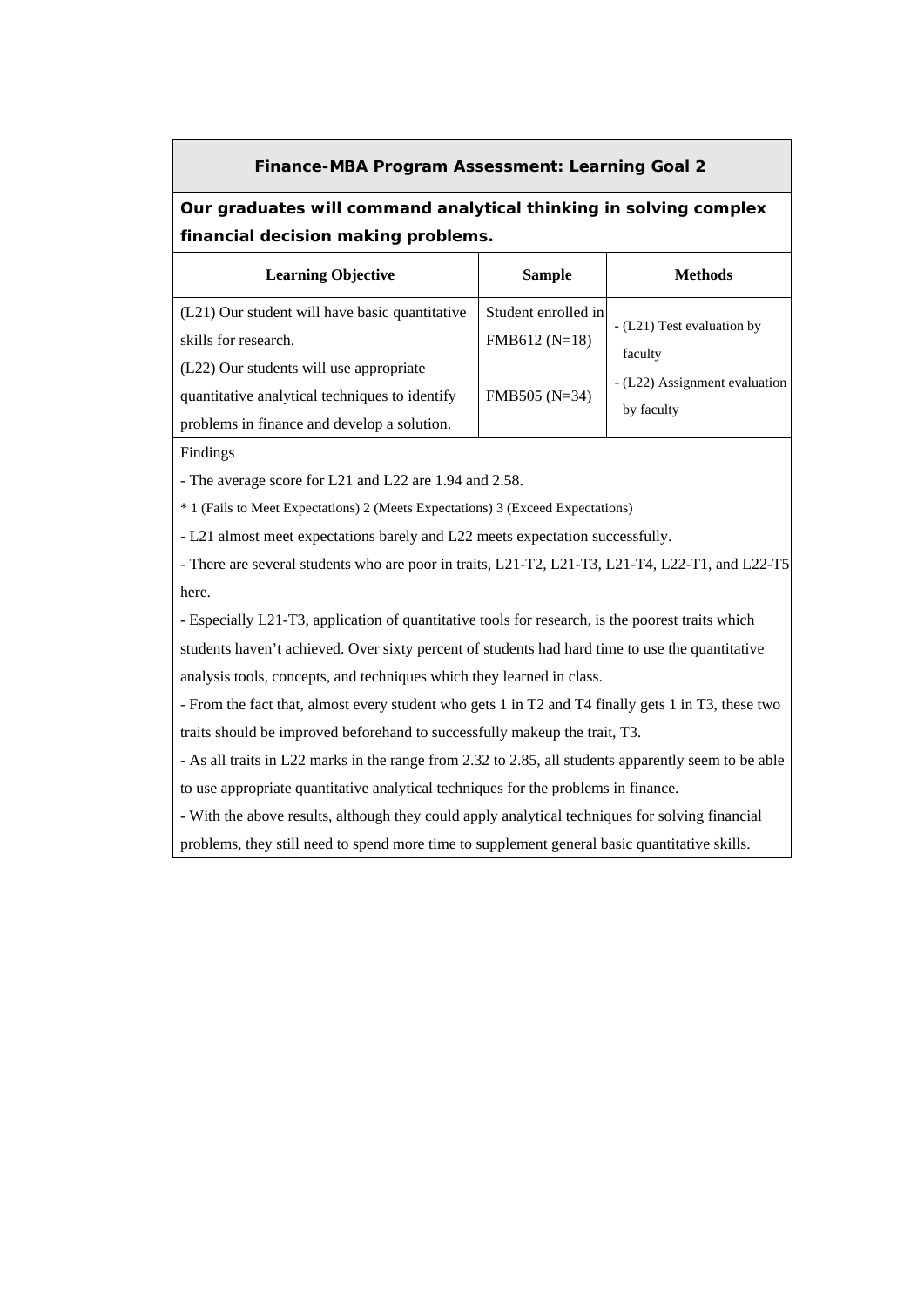#### **Finance-MBA Program Assessment: Learning Goal 2**

### **Our graduates will command analytical thinking in solving complex financial decision making problems.**

| <b>Learning Objective</b>                      | <b>Sample</b>       | <b>Methods</b>                |
|------------------------------------------------|---------------------|-------------------------------|
| (L21) Our student will have basic quantitative | Student enrolled in | - (L21) Test evaluation by    |
| skills for research.                           | $FMB612(N=18)$      | faculty                       |
| (L22) Our students will use appropriate        |                     |                               |
| quantitative analytical techniques to identify | $FMB505 (N=34)$     | - (L22) Assignment evaluation |
| problems in finance and develop a solution.    |                     | by faculty                    |

Findings

- The average score for L21 and L22 are 1.94 and 2.58.

\* 1 (Fails to Meet Expectations) 2 (Meets Expectations) 3 (Exceed Expectations)

**-** L21 almost meet expectations barely and L22 meets expectation successfully.

- There are several students who are poor in traits, L21-T2, L21-T3, L21-T4, L22-T1, and L22-T5 here.

- Especially L21-T3, application of quantitative tools for research, is the poorest traits which

students haven't achieved. Over sixty percent of students had hard time to use the quantitative analysis tools, concepts, and techniques which they learned in class.

- From the fact that, almost every student who gets 1 in T2 and T4 finally gets 1 in T3, these two traits should be improved beforehand to successfully makeup the trait, T3.

- As all traits in L22 marks in the range from 2.32 to 2.85, all students apparently seem to be able to use appropriate quantitative analytical techniques for the problems in finance.

- With the above results, although they could apply analytical techniques for solving financial

problems, they still need to spend more time to supplement general basic quantitative skills.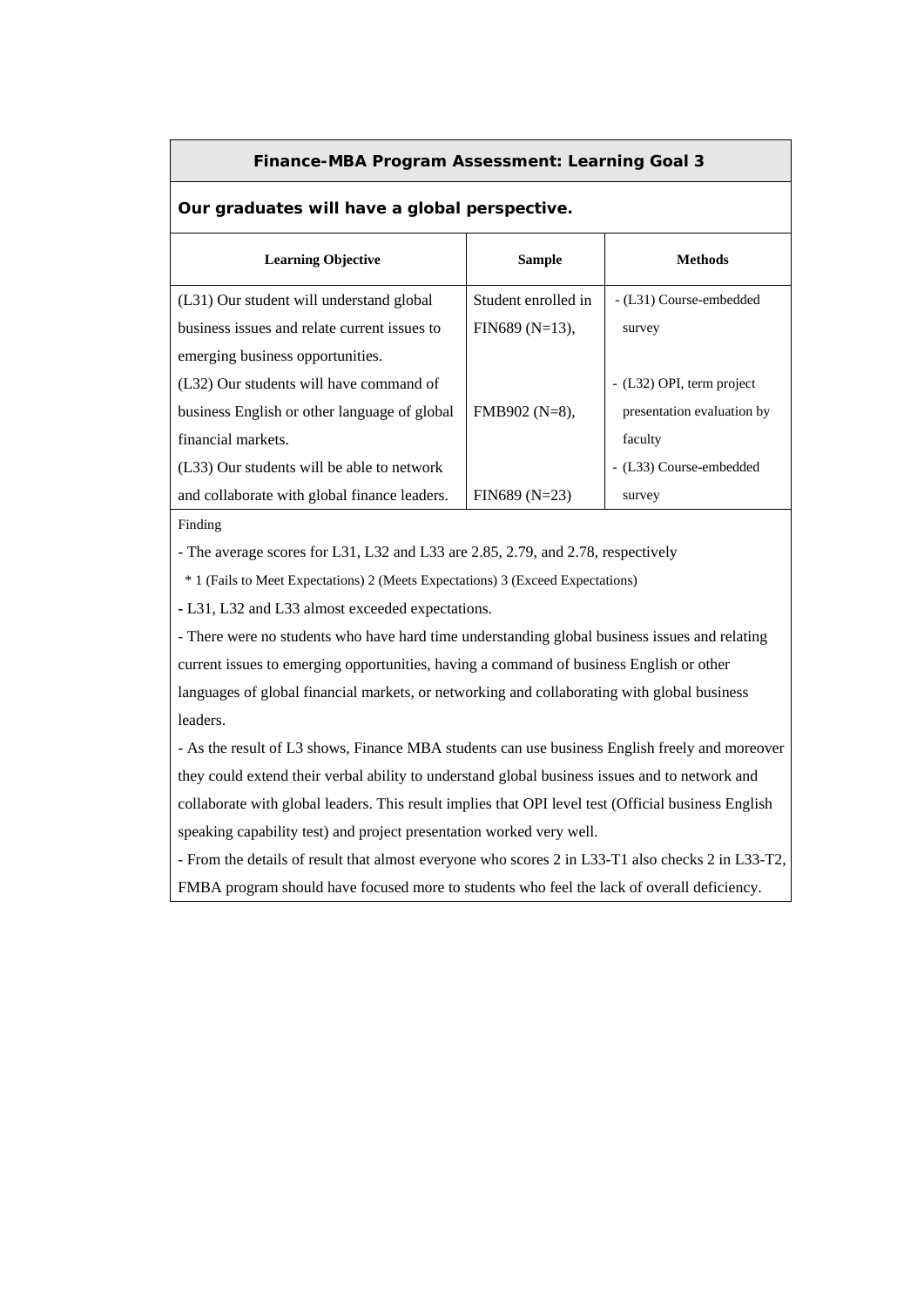### **Finance-MBA Program Assessment: Learning Goal 3**

### **Our graduates will have a global perspective.**

| <b>Learning Objective</b>                    | <b>Sample</b>       | Methods                    |
|----------------------------------------------|---------------------|----------------------------|
| (L31) Our student will understand global     | Student enrolled in | - (L31) Course-embedded    |
| business issues and relate current issues to | $FIN689(N=13)$ ,    | survey                     |
| emerging business opportunities.             |                     |                            |
| (L32) Our students will have command of      |                     | - (L32) OPI, term project  |
| business English or other language of global | $FMB902 (N=8)$ ,    | presentation evaluation by |
| financial markets.                           |                     | faculty                    |
| (L33) Our students will be able to network   |                     | - (L33) Course-embedded    |
| and collaborate with global finance leaders. | $FIN689 (N=23)$     | survey                     |

Finding

- The average scores for L31, L32 and L33 are 2.85, 2.79, and 2.78, respectively

\* 1 (Fails to Meet Expectations) 2 (Meets Expectations) 3 (Exceed Expectations)

**-** L31, L32 and L33 almost exceeded expectations.

- There were no students who have hard time understanding global business issues and relating current issues to emerging opportunities, having a command of business English or other languages of global financial markets, or networking and collaborating with global business leaders.

- As the result of L3 shows, Finance MBA students can use business English freely and moreover they could extend their verbal ability to understand global business issues and to network and collaborate with global leaders. This result implies that OPI level test (Official business English speaking capability test) and project presentation worked very well.

- From the details of result that almost everyone who scores 2 in L33-T1 also checks 2 in L33-T2, FMBA program should have focused more to students who feel the lack of overall deficiency.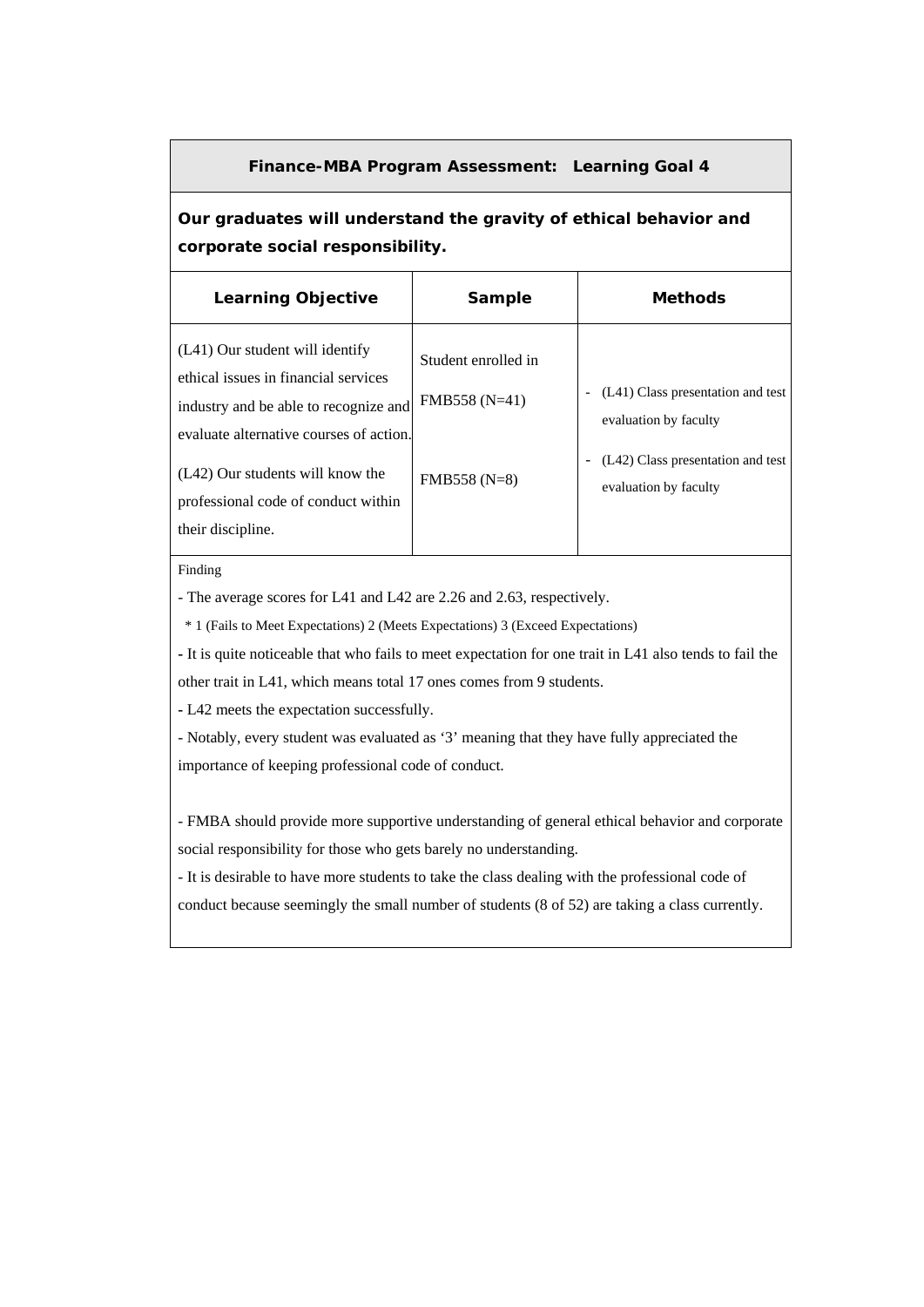### **Finance-MBA Program Assessment: Learning Goal 4**

**Our graduates will understand the gravity of ethical behavior and corporate social responsibility.** 

| <b>Learning Objective</b>                                                                                                                                                                                                                                   | <b>Sample</b>                                         | <b>Methods</b>                                                                                                           |
|-------------------------------------------------------------------------------------------------------------------------------------------------------------------------------------------------------------------------------------------------------------|-------------------------------------------------------|--------------------------------------------------------------------------------------------------------------------------|
| (L41) Our student will identify<br>ethical issues in financial services<br>industry and be able to recognize and<br>evaluate alternative courses of action.<br>(L42) Our students will know the<br>professional code of conduct within<br>their discipline. | Student enrolled in<br>FMB558 (N=41)<br>$FMB558(N=8)$ | (L41) Class presentation and test<br>evaluation by faculty<br>(L42) Class presentation and test<br>evaluation by faculty |

Finding

- The average scores for L41 and L42 are 2.26 and 2.63, respectively.

\* 1 (Fails to Meet Expectations) 2 (Meets Expectations) 3 (Exceed Expectations)

**-** It is quite noticeable that who fails to meet expectation for one trait in L41 also tends to fail the other trait in L41, which means total 17 ones comes from 9 students.

**-** L42 meets the expectation successfully.

- Notably, every student was evaluated as '3' meaning that they have fully appreciated the importance of keeping professional code of conduct.

- FMBA should provide more supportive understanding of general ethical behavior and corporate social responsibility for those who gets barely no understanding.

- It is desirable to have more students to take the class dealing with the professional code of conduct because seemingly the small number of students (8 of 52) are taking a class currently.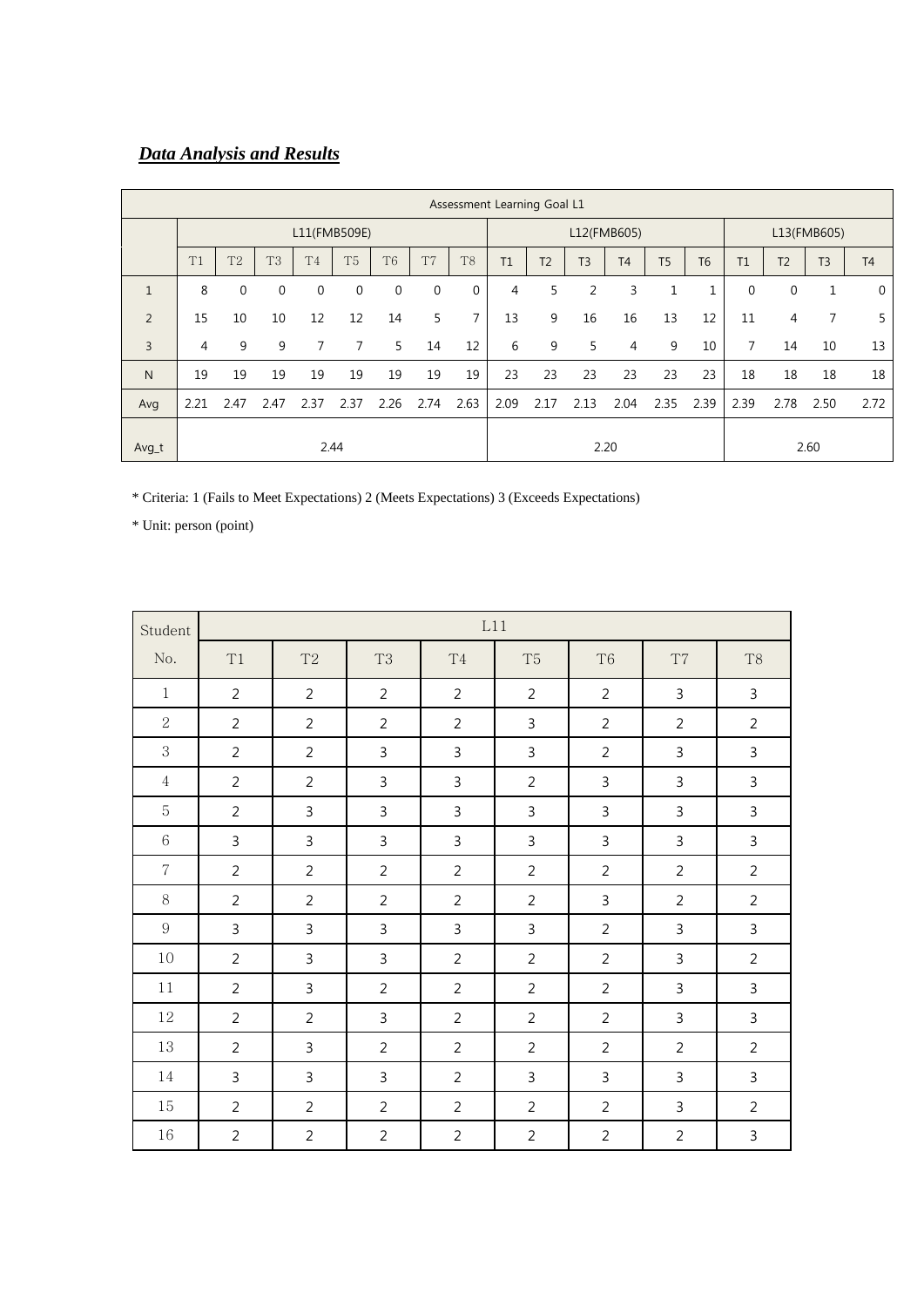# *Data Analysis and Results*

|                | Assessment Learning Goal L1 |                |                |                |                |                |                |                |      |                |                |                |                |                |              |                |                |                |
|----------------|-----------------------------|----------------|----------------|----------------|----------------|----------------|----------------|----------------|------|----------------|----------------|----------------|----------------|----------------|--------------|----------------|----------------|----------------|
|                | L11(FMB509E)                |                |                |                |                |                | L12(FMB605)    |                |      |                | L13(FMB605)    |                |                |                |              |                |                |                |
|                | T1                          | T <sub>2</sub> | T <sub>3</sub> | T <sub>4</sub> | T <sub>5</sub> | T <sub>6</sub> | T <sub>7</sub> | T <sub>8</sub> | T1   | T <sub>2</sub> | T <sub>3</sub> | T <sub>4</sub> | T <sub>5</sub> | T <sub>6</sub> | T1           | T <sub>2</sub> | T <sub>3</sub> | T <sub>4</sub> |
| $\mathbf{1}$   | 8                           | $\mathbf 0$    | $\mathbf 0$    | $\mathbf{0}$   | 0              | $\mathbf 0$    | $\mathbf{0}$   | $\mathbf 0$    | 4    | 5              | 2              | 3              | $\mathbf{1}$   | $\mathbf{1}$   | $\mathbf{0}$ | 0              |                | $\mathbf 0$    |
| 2              | 15                          | 10             | 10             | 12             | 12             | 14             | 5              | $\overline{7}$ | 13   | 9              | 16             | 16             | 13             | 12             | 11           | 4              | 7              | 5              |
| $\overline{3}$ | 4                           | 9              | 9              | 7              | 7              | 5              | 14             | 12             | 6    | 9              | 5              | 4              | 9              | 10             | $7^{\circ}$  | 14             | 10             | 13             |
| N              | 19                          | 19             | 19             | 19             | 19             | 19             | 19             | 19             | 23   | 23             | 23             | 23             | 23             | 23             | 18           | 18             | 18             | 18             |
| Avg            | 2.21                        | 2.47           | 2.47           | 2.37           | 2.37           | 2.26           | 2.74           | 2.63           | 2.09 | 2.17           | 2.13           | 2.04           | 2.35           | 2.39           | 2.39         | 2.78           | 2.50           | 2.72           |
| Avg_t          | 2.44                        |                |                |                |                |                |                |                | 2.20 |                |                |                |                | 2.60           |              |                |                |                |

\* Criteria: 1 (Fails to Meet Expectations) 2 (Meets Expectations) 3 (Exceeds Expectations)

| Student          |                |                |                |                | L11            |                |                |                |
|------------------|----------------|----------------|----------------|----------------|----------------|----------------|----------------|----------------|
| No.              | T1             | T2             | T <sub>3</sub> | T <sub>4</sub> | T <sub>5</sub> | T <sub>6</sub> | T7             | T <sub>8</sub> |
| $\mathbf{1}$     | $\overline{2}$ | $\overline{2}$ | $\overline{2}$ | $\overline{2}$ | $\overline{2}$ | $\overline{2}$ | 3              | 3              |
| $\overline{2}$   | $\overline{2}$ | $\overline{2}$ | $\overline{2}$ | $\overline{2}$ | 3              | $\overline{2}$ | $\overline{2}$ | $\overline{2}$ |
| 3                | $\overline{2}$ | $\overline{2}$ | $\mathbf{3}$   | $\mathbf{3}$   | 3              | $\overline{2}$ | $\mathbf{3}$   | 3              |
| 4                | $\overline{2}$ | $\overline{2}$ | $\mathbf{3}$   | $\mathbf{3}$   | $\overline{2}$ | 3              | 3              | 3              |
| 5                | $\overline{2}$ | $\mathbf{3}$   | $\overline{3}$ | $\overline{3}$ | 3              | 3              | 3              | $\mathbf{3}$   |
| $6\,$            | $\mathsf{3}$   | 3              | $\mathsf{3}$   | $\mathsf{3}$   | 3              | 3              | 3              | $\mathsf 3$    |
| $\,7$            | $\overline{2}$ | $\overline{2}$ | $\overline{2}$ | $\overline{2}$ | $\overline{2}$ | $\overline{2}$ | $\overline{2}$ | $\overline{2}$ |
| 8                | $\overline{2}$ | $\overline{2}$ | $\overline{2}$ | $\overline{2}$ | $\overline{2}$ | $\overline{3}$ | $\overline{2}$ | $\overline{2}$ |
| $\boldsymbol{9}$ | $\overline{3}$ | $\mathsf{3}$   | $\overline{3}$ | $\overline{3}$ | $\overline{3}$ | $\overline{2}$ | $\mathsf{3}$   | $\overline{3}$ |
| 10               | $\overline{2}$ | $\mathsf{3}$   | $\overline{3}$ | $\overline{2}$ | $\overline{2}$ | $\overline{2}$ | $\mathsf{3}$   | $\overline{2}$ |
| 11               | $\overline{2}$ | $\mathbf{3}$   | $\overline{2}$ | $\overline{2}$ | $\overline{2}$ | $\overline{2}$ | $\mathbf{3}$   | $\overline{3}$ |
| 12               | $\overline{2}$ | $\overline{2}$ | $\mathbf{3}$   | $\overline{2}$ | $\overline{2}$ | $\overline{2}$ | $\mathsf{3}$   | $\overline{3}$ |
| 13               | $\overline{2}$ | $\mathsf{3}$   | $\overline{2}$ | $\overline{2}$ | $\overline{2}$ | $\overline{2}$ | $\overline{2}$ | $\overline{2}$ |
| 14               | $\overline{3}$ | $\mathsf{3}$   | $\overline{3}$ | $\overline{2}$ | $\overline{3}$ | $\mathbf{3}$   | $\mathbf{3}$   | $\overline{3}$ |
| 15               | $\overline{2}$ | $\overline{2}$ | 2              | $\overline{2}$ | $\overline{2}$ | 2              | $\mathbf{3}$   | $\overline{2}$ |
| 16               | $\overline{2}$ | $\overline{2}$ | $\overline{2}$ | $\overline{2}$ | $\overline{2}$ | $\overline{2}$ | $\overline{2}$ | $\overline{3}$ |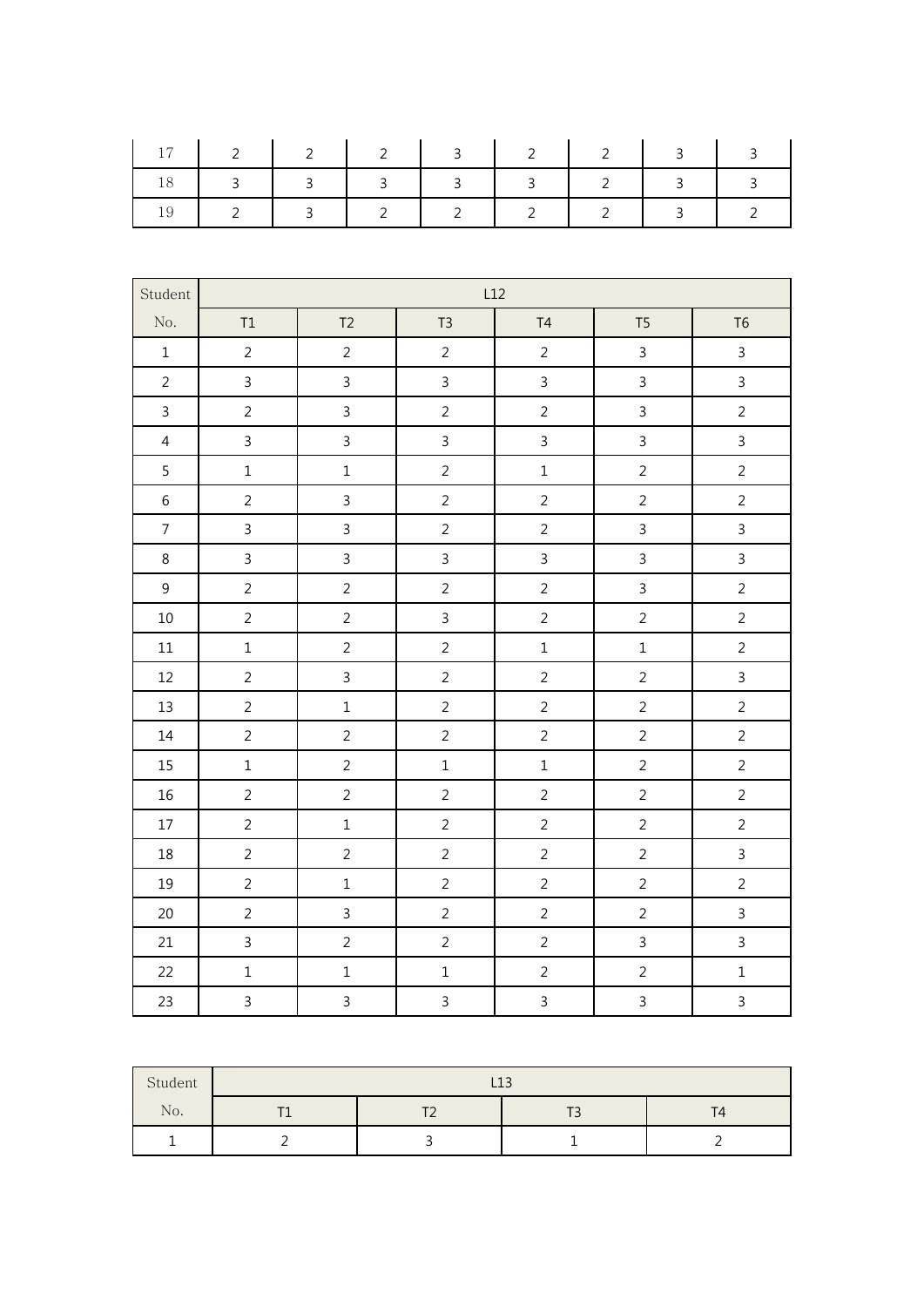| $1 \t17 \t2 \t12 \t3 \t2 \t3 \t2 \t3 \t3$ |  |                     |  |  |
|-------------------------------------------|--|---------------------|--|--|
|                                           |  | 3 3 3 3 3 3 3 4 2 3 |  |  |
| 2   3   2   2   2   2                     |  |                     |  |  |

| Student        |                |                |                | L12            |                |                |
|----------------|----------------|----------------|----------------|----------------|----------------|----------------|
| No.            | T1             | T2             | T <sub>3</sub> | T4             | T <sub>5</sub> | T <sub>6</sub> |
| $\mathbf 1$    | $\overline{2}$ | $\overline{2}$ | $\overline{2}$ | $\overline{2}$ | $\mathsf{3}$   | $\overline{3}$ |
| $\overline{2}$ | $\overline{3}$ | $\overline{3}$ | $\mathbf{3}$   | $\overline{3}$ | $\mathsf{3}$   | $\overline{3}$ |
| $\mathsf{3}$   | $\overline{2}$ | $\overline{3}$ | $\overline{2}$ | $\overline{2}$ | $\overline{3}$ | $\overline{2}$ |
| $\overline{4}$ | $\overline{3}$ | $\mathsf{3}$   | $\mathbf{3}$   | $\mathbf{3}$   | $\mathbf{3}$   | $\overline{3}$ |
| 5              | $\mathbf{1}$   | $\mathbf 1$    | $\overline{2}$ | $\mathbf 1$    | $\overline{2}$ | $\overline{2}$ |
| $\,$ 6 $\,$    | $\overline{2}$ | $\mathbf{3}$   | $\overline{2}$ | $\overline{2}$ | $\overline{2}$ | $\overline{2}$ |
| $\overline{7}$ | $\overline{3}$ | $\overline{3}$ | $\overline{2}$ | $\overline{2}$ | $\overline{3}$ | $\overline{3}$ |
| 8              | $\overline{3}$ | $\overline{3}$ | $\mathsf{3}$   | $\overline{3}$ | $\overline{3}$ | $\overline{3}$ |
| $\overline{9}$ | $\overline{2}$ | $\overline{2}$ | $\overline{2}$ | $\overline{2}$ | $\overline{3}$ | $\overline{2}$ |
| 10             | $\overline{2}$ | $\overline{2}$ | $\mathsf{3}$   | $\overline{2}$ | $\overline{2}$ | $\overline{2}$ |
| 11             | $\mathbf 1$    | $\overline{2}$ | $\overline{2}$ | $\mathbf 1$    | $\mathbf 1$    | $\overline{2}$ |
| 12             | $\overline{2}$ | $\overline{3}$ | $\overline{2}$ | $\overline{2}$ | $\overline{2}$ | $\overline{3}$ |
| 13             | $\overline{2}$ | $\mathbf 1$    | $\overline{2}$ | $\overline{2}$ | $\overline{2}$ | $\overline{2}$ |
| $14\,$         | $\overline{2}$ | $\overline{2}$ | $\overline{2}$ | $\overline{2}$ | $\overline{2}$ | $\overline{2}$ |
| 15             | $\mathbf 1$    | $\overline{2}$ | $\mathbf 1$    | $\,1$          | $\overline{2}$ | $\overline{2}$ |
| 16             | $\overline{2}$ | $\overline{2}$ | $\overline{2}$ | $\overline{2}$ | $\overline{2}$ | $\overline{2}$ |
| $17\,$         | $\overline{2}$ | $\mathbf 1$    | $\overline{2}$ | $\overline{2}$ | $\overline{2}$ | $\overline{2}$ |
| 18             | $\overline{2}$ | $\overline{2}$ | $\overline{2}$ | $\overline{2}$ | $\overline{2}$ | $\overline{3}$ |
| 19             | $\overline{2}$ | $\mathbf 1$    | $\overline{2}$ | $\overline{2}$ | $\overline{2}$ | $\overline{2}$ |
| 20             | $\overline{2}$ | $\overline{3}$ | $\overline{2}$ | $\overline{2}$ | $\overline{2}$ | $\overline{3}$ |
| 21             | $\overline{3}$ | $\overline{2}$ | $\overline{2}$ | $\overline{2}$ | $\overline{3}$ | $\overline{3}$ |
| 22             | $\mathbf 1$    | $\mathbf 1$    | $\mathbf 1$    | $\overline{2}$ | $\overline{2}$ | $\mathbf 1$    |
| 23             | $\overline{3}$ | $\overline{3}$ | $\mathsf{3}$   | $\overline{3}$ | $\overline{3}$ | $\overline{3}$ |

| Student | L <sub>13</sub> |                          |  |  |  |  |  |  |  |
|---------|-----------------|--------------------------|--|--|--|--|--|--|--|
| No.     |                 | $\overline{\phantom{a}}$ |  |  |  |  |  |  |  |
|         |                 |                          |  |  |  |  |  |  |  |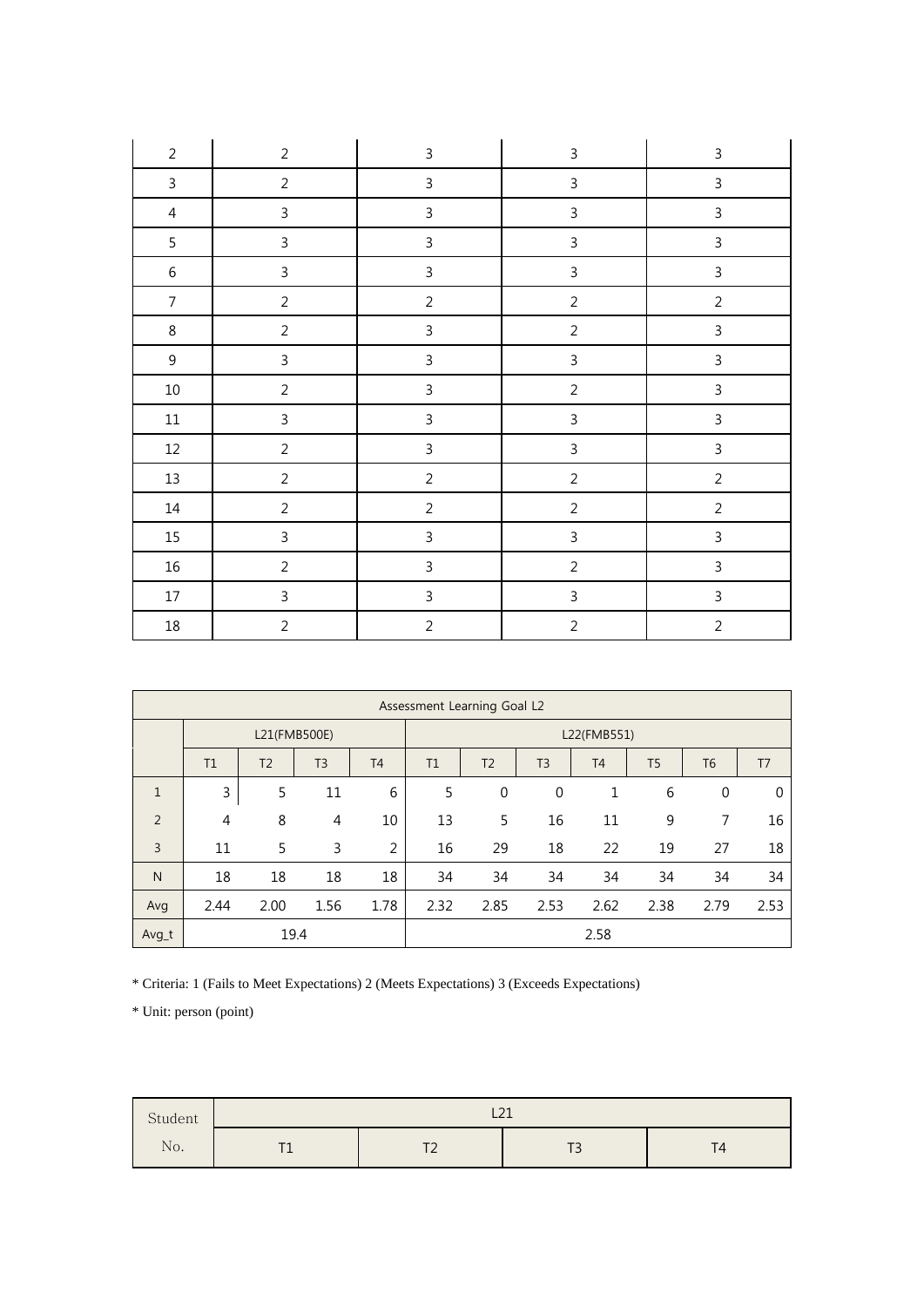| $\overline{2}$ | $\overline{2}$ | $\mathsf{3}$   | $\mathsf{3}$            | $\mathsf 3$    |
|----------------|----------------|----------------|-------------------------|----------------|
| $\mathsf{3}$   | $\overline{2}$ | $\mathsf{3}$   | $\mathsf{3}$            | $\mathsf{3}$   |
| $\overline{4}$ | $\mathbf{3}$   | $\mathbf{3}$   | $\overline{3}$          | $\mathsf{3}$   |
| 5              | $\mathbf{3}$   | $\mathsf{3}$   | $\mathsf{3}$            | $\mathbf{3}$   |
| $\,6\,$        | $\mathsf{3}$   | $\mathbf{3}$   | $\overline{3}$          | $\mathsf{3}$   |
| $\overline{7}$ | $\overline{2}$ | $\overline{2}$ | $\overline{2}$          | $\overline{2}$ |
| $\,8\,$        | $\overline{2}$ | $\mathbf{3}$   | $\overline{2}$          | $\overline{3}$ |
| $\mathsf 9$    | $\mathsf 3$    | $\mathsf{3}$   | $\overline{\mathbf{3}}$ | $\overline{3}$ |
| $10\,$         | $\overline{2}$ | $\mathsf{3}$   | $\overline{2}$          | $\overline{3}$ |
| $11\,$         | $\mathsf{3}$   | $\mathsf{3}$   | $\overline{3}$          | $\mathsf{3}$   |
| 12             | $\overline{2}$ | $\overline{3}$ | $\mathbf{3}$            | $\mathsf{3}$   |
| $13\,$         | $\overline{2}$ | $\overline{2}$ | $\overline{2}$          | $\overline{2}$ |
| $14\,$         | $\overline{2}$ | $\overline{2}$ | $\overline{c}$          | $\overline{2}$ |
| 15             | $\mathbf{3}$   | $\mathsf{3}$   | $\overline{3}$          | $\mathsf{3}$   |
| $16\,$         | $\overline{2}$ | $\mathbf{3}$   | $\overline{2}$          | $\overline{3}$ |
| $17\,$         | $\mathbf{3}$   | $\mathsf{3}$   | $\mathbf{3}$            | $\overline{3}$ |
| $18\,$         | $\overline{2}$ | $\overline{2}$ | $\overline{2}$          | $\overline{2}$ |

|                | Assessment Learning Goal L2 |                |                |           |      |                |                  |                |                |                |                |
|----------------|-----------------------------|----------------|----------------|-----------|------|----------------|------------------|----------------|----------------|----------------|----------------|
|                | L21(FMB500E)                |                |                |           |      | L22(FMB551)    |                  |                |                |                |                |
|                | T1                          | T <sub>2</sub> | T <sub>3</sub> | <b>T4</b> | T1   | T <sub>2</sub> | T <sub>3</sub>   | T <sub>4</sub> | T <sub>5</sub> | T <sub>6</sub> | T <sub>7</sub> |
| $\mathbf{1}$   | 3                           | 5              | 11             | 6         | 5    | $\mathbf 0$    | $\boldsymbol{0}$ | $\mathbf{1}$   | 6              | $\mathbf 0$    | $\Omega$       |
| $\overline{2}$ | $\overline{4}$              | 8              | 4              | 10        | 13   | 5              | 16               | 11             | 9              | 7              | 16             |
| $\overline{3}$ | 11                          | 5              | 3              | 2         | 16   | 29             | 18               | 22             | 19             | 27             | 18             |
| $\mathsf{N}$   | 18                          | 18             | 18             | 18        | 34   | 34             | 34               | 34             | 34             | 34             | 34             |
| Avg            | 2.44                        | 2.00           | 1.56           | 1.78      | 2.32 | 2.85           | 2.53             | 2.62           | 2.38           | 2.79           | 2.53           |
| Avg_t          |                             |                | 19.4           |           |      |                |                  | 2.58           |                |                |                |

\* Criteria: 1 (Fails to Meet Expectations) 2 (Meets Expectations) 3 (Exceeds Expectations)

| Student       | $\sim$<br>---            |                |                          |   |  |  |  |
|---------------|--------------------------|----------------|--------------------------|---|--|--|--|
| $\sim$ $\sim$ | $\overline{\phantom{a}}$ | $\overline{f}$ | $\overline{r}$           | T |  |  |  |
| No.           |                          | -              | $\overline{\phantom{a}}$ | ∸ |  |  |  |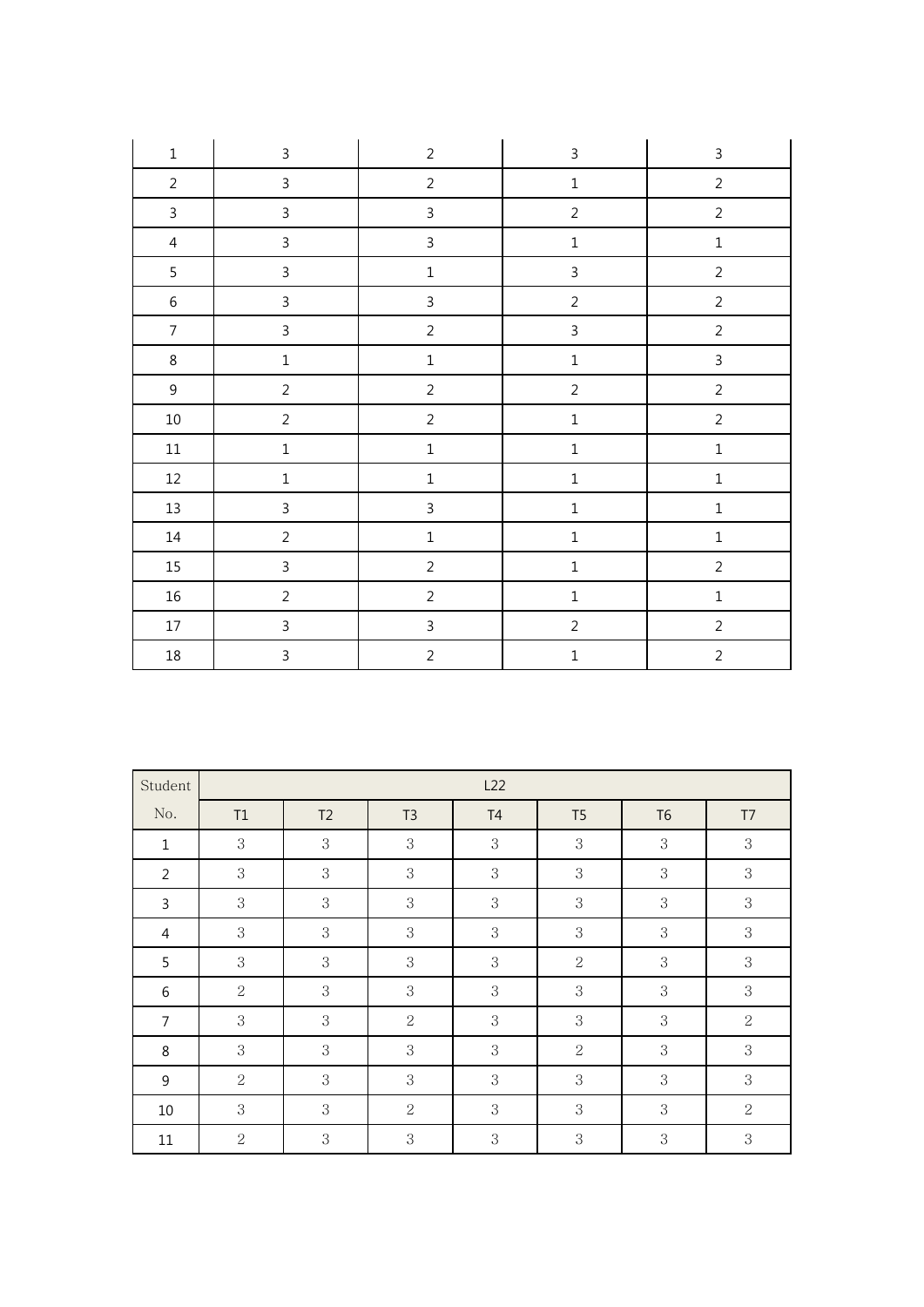| $\mathbf 1$    | $\mathsf 3$    | $\overline{2}$ | $\mathbf{3}$   | $\mathsf{3}$   |
|----------------|----------------|----------------|----------------|----------------|
| $\overline{2}$ | $\mathsf{3}$   | $\overline{2}$ | $\mathbf 1$    | $\overline{2}$ |
| $\mathbf{3}$   | $\mathsf{3}$   | $\mathbf{3}$   | $\overline{2}$ | $\overline{2}$ |
| $\overline{4}$ | $\mathsf{3}$   | $\mathbf{3}$   | $\mathbf 1$    | $\mathbf 1$    |
| 5              | 3              | $\mathbf 1$    | $\overline{3}$ | $\sqrt{2}$     |
| $\,6\,$        | $\mathsf 3$    | $\overline{3}$ | $\overline{2}$ | $\sqrt{2}$     |
| $\overline{7}$ | $\mathsf{3}$   | $\overline{2}$ | $\overline{3}$ | $\overline{2}$ |
| $\,8\,$        | $\mathbf 1$    | $\mathbf 1$    | $\,1\,$        | $\overline{3}$ |
| $9\,$          | $\overline{2}$ | $\overline{2}$ | $\overline{2}$ | $\overline{2}$ |
| $10\,$         | $\overline{2}$ | $\overline{2}$ | $\mathbf 1$    | $\overline{2}$ |
| $11\,$         | $\mathbf 1$    | $\mathbf 1$    | $\mathbf 1$    | $\mathbf 1$    |
| $12\,$         | $\mathbf 1$    | $\mathbf 1$    | $\mathbf 1$    | $\mathbf 1$    |
| $13\,$         | $\mathsf{3}$   | $\mathfrak{Z}$ | $\mathbf 1$    | $\mathbf 1$    |
| $14\,$         | $\overline{2}$ | $\mathbf 1$    | $\mathbf 1$    | $\mathbf 1$    |
| $15\,$         | $\mathsf{3}$   | $\overline{2}$ | $\mathbf 1$    | $\overline{2}$ |
| $16\,$         | $\overline{2}$ | $\sqrt{2}$     | $\mathbf 1$    | $\mathbf 1$    |
| $17\,$         | 3              | $\mathsf{3}$   | $\overline{c}$ | $\sqrt{2}$     |
| $18\,$         | $\mathsf{3}$   | $\overline{2}$ | $\mathbf 1$    | $\overline{2}$ |

| Student        |                | L22            |                |                |                |                |                |  |
|----------------|----------------|----------------|----------------|----------------|----------------|----------------|----------------|--|
| No.            | T1             | T <sub>2</sub> | T <sub>3</sub> | T <sub>4</sub> | T <sub>5</sub> | T <sub>6</sub> | T7             |  |
| $\mathbf 1$    | 3              | $\,3$          | 3              | 3              | 3              | 3              | 3              |  |
| $\overline{2}$ | 3              | $\,3$          | 3              | 3              | 3              | 3              | 3              |  |
| 3              | 3              | 3              | 3              | 3              | 3              | 3              | 3              |  |
| $\overline{4}$ | $\sqrt{3}$     | $\,3$          | $\mathbf{3}$   | 3              | $\,3$          | 3              | 3              |  |
| 5              | 3              | $\,3$          | 3              | 3              | $\overline{2}$ | 3              | 3              |  |
| 6              | $\overline{2}$ | 3              | 3              | 3              | 3              | 3              | 3              |  |
| $\overline{7}$ | 3              | 3              | $\overline{2}$ | 3              | 3              | 3              | $\overline{2}$ |  |
| 8              | 3              | $\,3$          | 3              | 3              | $\overline{2}$ | 3              | 3              |  |
| 9              | $\overline{2}$ | 3              | 3              | 3              | 3              | 3              | 3              |  |
| 10             | 3              | 3              | $\overline{2}$ | 3              | 3              | 3              | $\overline{2}$ |  |
| 11             | $\sqrt{2}$     | $\sqrt{3}$     | 3              | 3              | $\,3$          | 3              | 3              |  |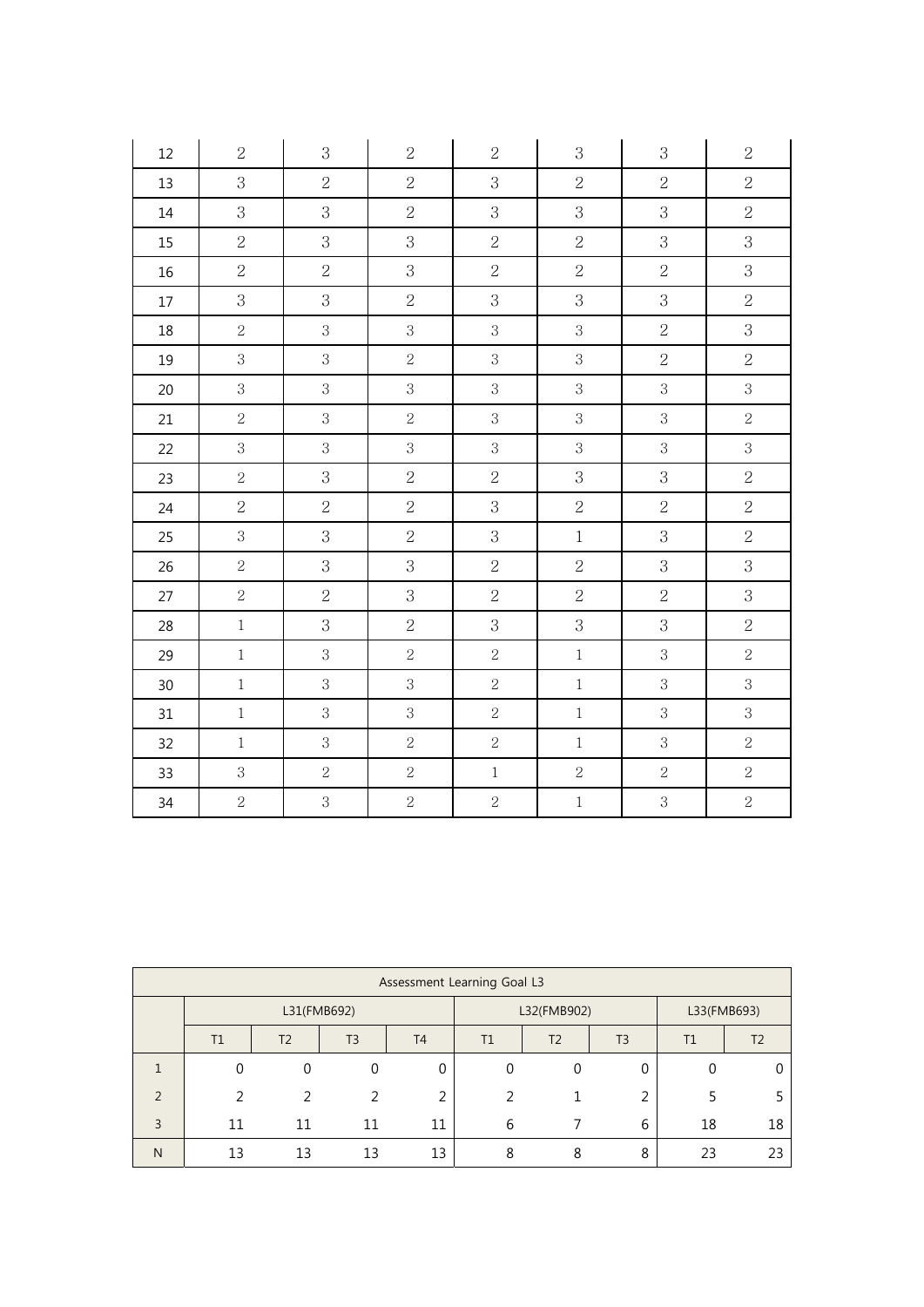| 12     | $\sqrt{2}$     | 3              | $\sqrt{2}$     | $\sqrt{2}$     | 3              | $\,3$          | $\,2$          |
|--------|----------------|----------------|----------------|----------------|----------------|----------------|----------------|
| 13     | 3              | $\overline{2}$ | $\sqrt{2}$     | 3              | $\overline{2}$ | $\sqrt{2}$     | $\sqrt{2}$     |
| $14\,$ | 3              | 3              | $\overline{2}$ | 3              | 3              | 3              | $\overline{2}$ |
| 15     | $\overline{2}$ | 3              | 3              | $\sqrt{2}$     | $\overline{2}$ | 3              | 3              |
| 16     | $\overline{2}$ | $\overline{2}$ | 3              | $\overline{2}$ | $\overline{2}$ | $\overline{2}$ | $\mathbf{3}$   |
| 17     | 3              | 3              | $\overline{2}$ | 3              | 3              | 3              | $\overline{2}$ |
| 18     | $\sqrt{2}$     | 3              | $\mathbf{3}$   | 3              | 3              | $\overline{2}$ | 3              |
| 19     | 3              | 3              | $\overline{2}$ | 3              | 3              | $\overline{2}$ | $\overline{2}$ |
| 20     | 3              | 3              | $\mathbf{3}$   | 3              | 3              | 3              | 3              |
| 21     | $\sqrt{2}$     | 3              | $\sqrt{2}$     | $\mathbf{3}$   | $\sqrt{3}$     | $\,3$          | $\overline{2}$ |
| 22     | $\mathbf{3}$   | 3              | $\mathbf{3}$   | 3              | $\overline{3}$ | 3              | $\mathbf{3}$   |
| 23     | $\sqrt{2}$     | 3              | $\sqrt{2}$     | $\overline{2}$ | 3              | 3              | $\overline{2}$ |
| 24     | $\overline{2}$ | $\overline{2}$ | $\sqrt{2}$     | 3              | $\sqrt{2}$     | $\sqrt{2}$     | $\overline{2}$ |
| 25     | 3              | 3              | $\sqrt{2}$     | 3              | $\,1$          | 3              | $\overline{2}$ |
| 26     | $\sqrt{2}$     | 3              | 3              | $\sqrt{2}$     | $\sqrt{2}$     | 3              | 3              |
| 27     | $\sqrt{2}$     | $\overline{2}$ | $\mathbf 3$    | $\overline{2}$ | $\overline{2}$ | $\sqrt{2}$     | 3              |
| 28     | $\,1$          | 3              | $\sqrt{2}$     | 3              | $\mathbf{3}$   | 3              | $\overline{2}$ |
| 29     | $\,1$          | 3              | $\sqrt{2}$     | $\overline{2}$ | $\,1$          | $\,3\,$        | $\overline{2}$ |
| 30     | $\,1$          | 3              | $\mathbf{3}$   | $\overline{2}$ | $\,1$          | $\,3$          | $\mathbf{3}$   |
| 31     | $\,1$          | $\mathbf{3}$   | $\mathbf{3}$   | $\sqrt{2}$     | $\,1$          | $\,3$          | $\mathbf{3}$   |
| 32     | $\,1$          | 3              | $\sqrt{2}$     | $\sqrt{2}$     | $\,1$          | $\,3$          | $\overline{2}$ |
| 33     | $\mathbf{3}$   | $\sqrt{2}$     | $\sqrt{2}$     | $\mathbf{1}$   | $\overline{2}$ | $\sqrt{2}$     | $\sqrt{2}$     |
| $34\,$ | $\sqrt{2}$     | $\overline{3}$ | $\sqrt{2}$     | $\sqrt{2}$     | $\,1$          | $\,3$          | $\overline{2}$ |

| Assessment Learning Goal L3 |                                                                                   |    |    |          |             |                |        |             |    |
|-----------------------------|-----------------------------------------------------------------------------------|----|----|----------|-------------|----------------|--------|-------------|----|
|                             | L31(FMB692)                                                                       |    |    |          | L32(FMB902) |                |        | L33(FMB693) |    |
|                             | T <sub>2</sub><br>T3<br><b>T4</b><br>T <sub>3</sub><br>T1<br>T <sub>2</sub><br>T1 |    |    |          | T1          | T <sub>2</sub> |        |             |    |
|                             |                                                                                   |    |    | $\Omega$ |             | 0              | 0      |             |    |
| $\mathcal{P}$               | 2                                                                                 |    |    | ∍        |             |                | ำ<br>∠ |             |    |
| 3                           | 11                                                                                | 11 | 11 | 11       | 6           |                | 6      | 18          | 18 |
| N                           | 13                                                                                | 13 | 13 | 13       | o           | 8              | 8      | 23          |    |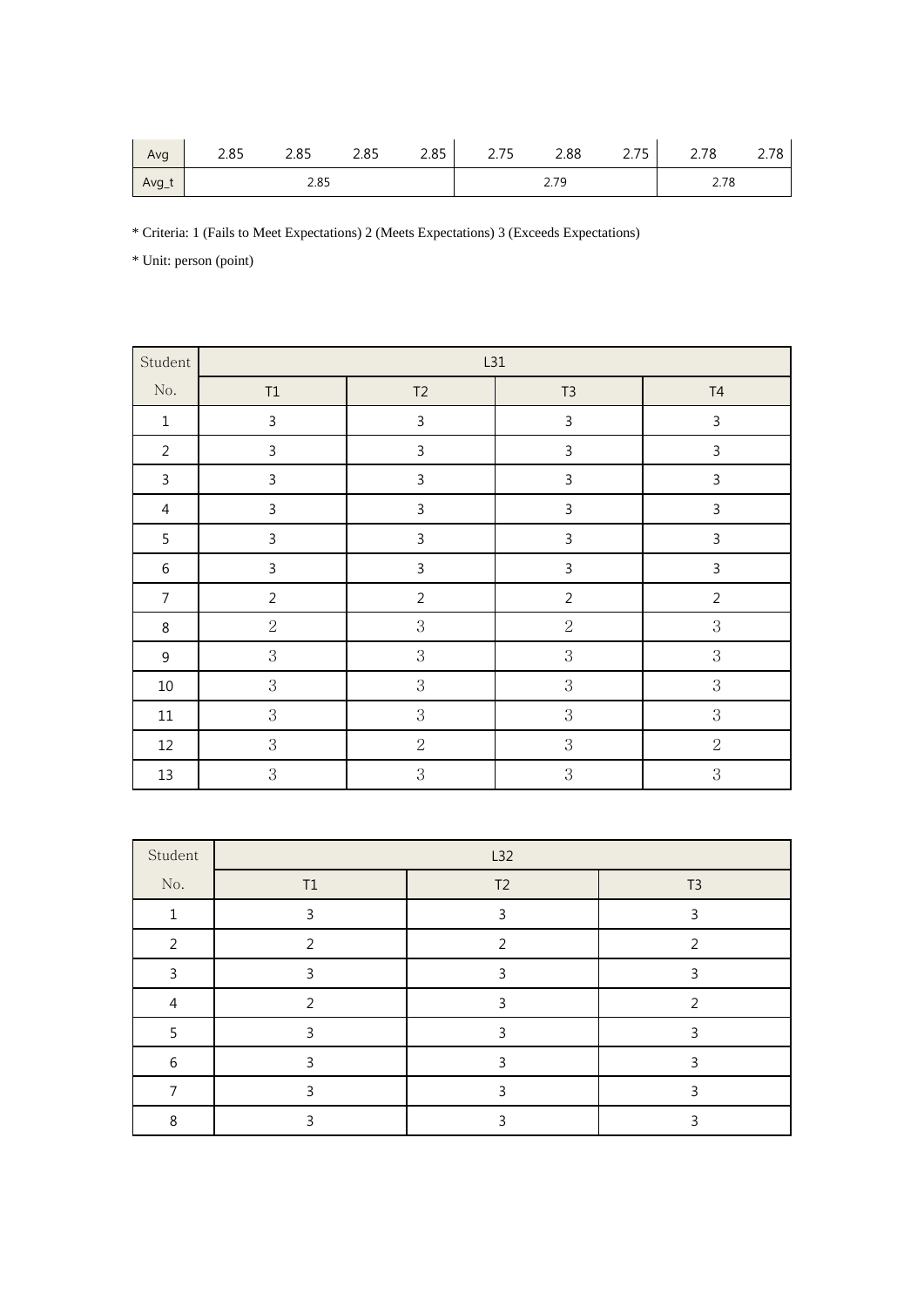| Avg   | 2.85 | ם ס<br>2.03 | つまち<br>د 2.0 | 2.85 | .7 <sub>F</sub><br>ر ، ے | 2.88       | 2.75 | 2.78 | 2.78 |
|-------|------|-------------|--------------|------|--------------------------|------------|------|------|------|
| Avg_t |      | 2.85        |              |      |                          | 70<br>2.19 |      | 2.78 |      |

\* Criteria: 1 (Fails to Meet Expectations) 2 (Meets Expectations) 3 (Exceeds Expectations)

| Student        |                | L31            |                |                |  |  |  |  |  |
|----------------|----------------|----------------|----------------|----------------|--|--|--|--|--|
| No.            | $\mathsf{T1}$  | T2             | $T3$           | $\mathsf{T}4$  |  |  |  |  |  |
| $\,1\,$        | $\mathsf{3}$   | $\mathsf{3}$   | $\mathsf{3}$   | 3              |  |  |  |  |  |
| $\overline{2}$ | $\mathsf{3}$   | $\mathbf{3}$   | $\mathsf{3}$   | 3              |  |  |  |  |  |
| $\mathbf{3}$   | $\mathbf{3}$   | $\mathsf{3}$   | $\mathsf 3$    | 3              |  |  |  |  |  |
| $\overline{4}$ | $\mathsf{3}$   | $\mathsf{3}$   | $\mathsf 3$    | 3              |  |  |  |  |  |
| 5              | $\mathbf{3}$   | $\mathsf{3}$   | $\mathsf{3}$   | 3              |  |  |  |  |  |
| $\,6\,$        | $\mathsf{3}$   | $\mathsf 3$    | $\mathsf 3$    | 3              |  |  |  |  |  |
| $\overline{7}$ | $\overline{2}$ | $\overline{2}$ | $\overline{2}$ | $\overline{2}$ |  |  |  |  |  |
| $\,8\,$        | $\sqrt{2}$     | 3              | $\sqrt{2}$     | 3              |  |  |  |  |  |
| $9\,$          | $\,3$          | 3              | $\,3$          | $\,3$          |  |  |  |  |  |
| $10\,$         | $\,3$          | 3              | $\,3$          | 3              |  |  |  |  |  |
| $11\,$         | $\mathbf 3$    | 3              | $\,3$          | $\,3$          |  |  |  |  |  |
| 12             | $\,3$          | $\overline{2}$ | $\,3$          | $\overline{2}$ |  |  |  |  |  |
| $13\,$         | 3              | 3              | $\,3$          | 3              |  |  |  |  |  |

| Student        | L32 |                |                |  |  |  |  |
|----------------|-----|----------------|----------------|--|--|--|--|
| No.            | T1  | T <sub>2</sub> | T <sub>3</sub> |  |  |  |  |
| 1              |     | ς              | ς              |  |  |  |  |
| 2              | า   |                | ว              |  |  |  |  |
| ∍              |     | ς              | ς              |  |  |  |  |
| $\overline{4}$ | ר   | ੨              | C              |  |  |  |  |
|                |     |                |                |  |  |  |  |
| 6              |     |                | ς              |  |  |  |  |
|                |     |                | ς              |  |  |  |  |
| 8              |     |                |                |  |  |  |  |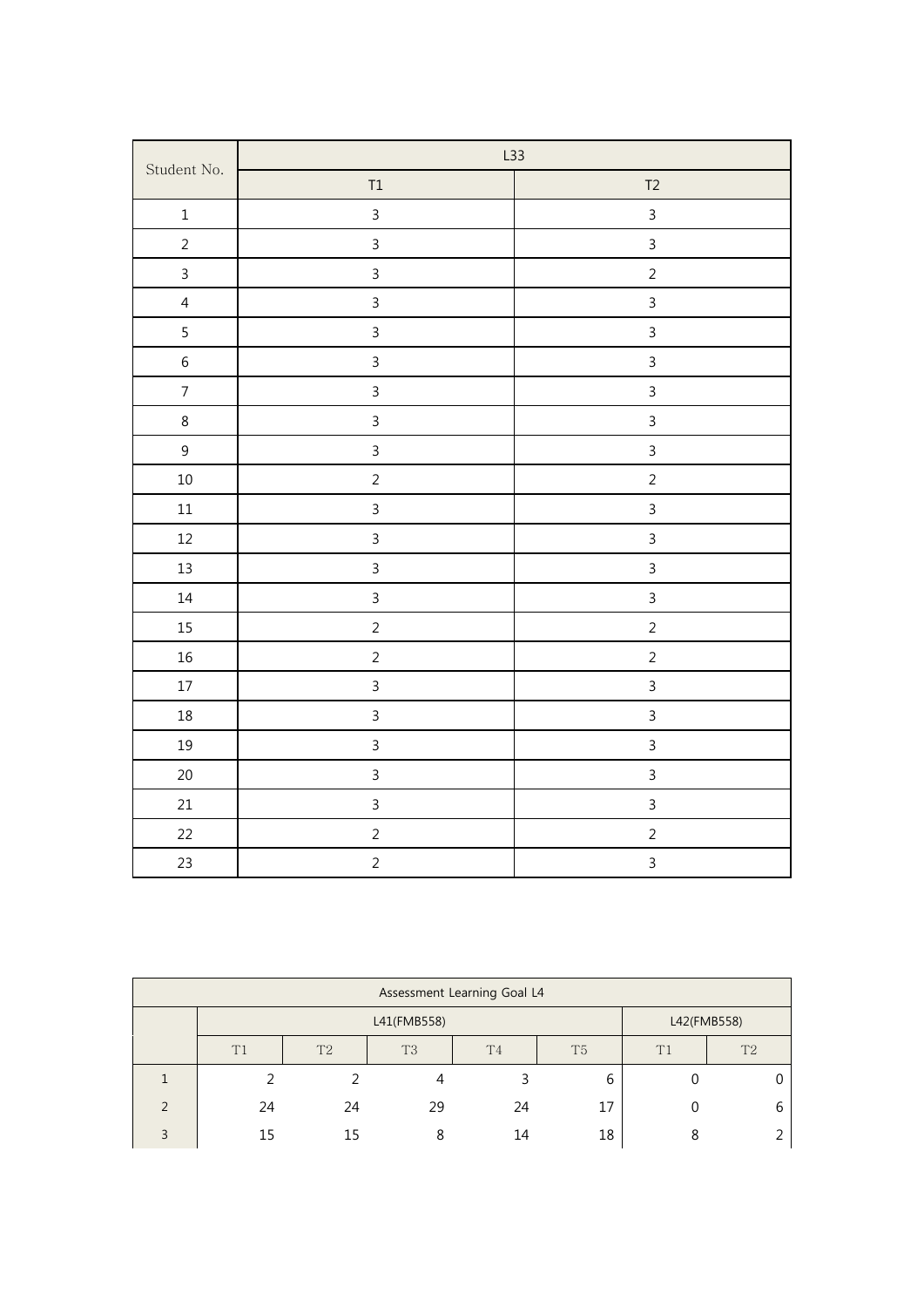|                  |                | L33            |  |  |
|------------------|----------------|----------------|--|--|
| Student No.      | $\mathsf{T1}$  | T2             |  |  |
| $\mathbf 1$      | $\overline{3}$ | $\mathbf{3}$   |  |  |
| $\overline{2}$   | $\overline{3}$ | $\overline{3}$ |  |  |
| $\mathsf{3}$     | $\mathsf{3}$   | $\overline{2}$ |  |  |
| $\overline{4}$   | $\overline{3}$ | $\overline{3}$ |  |  |
| 5                | $\mathfrak{Z}$ | $\overline{3}$ |  |  |
| $\boldsymbol{6}$ | $\mathsf{3}$   | $\overline{3}$ |  |  |
| $\overline{7}$   | $\mathsf{3}$   | $\overline{3}$ |  |  |
| 8                | $\mathsf{3}$   | $\overline{3}$ |  |  |
| $\mathsf{g}\,$   | $\mathsf{3}$   | $\overline{3}$ |  |  |
| $10\,$           | $\overline{2}$ | $\overline{2}$ |  |  |
| $11\,$           | $\mathsf{3}$   | $\overline{3}$ |  |  |
| $12\,$           | $\mathfrak{Z}$ | $\overline{3}$ |  |  |
| $13\,$           | $\mathbf{3}$   | $\overline{3}$ |  |  |
| 14               | $\mathbf{3}$   | $\mathsf{3}$   |  |  |
| $15\,$           | $\sqrt{2}$     | $\overline{2}$ |  |  |
| $16\,$           | $\overline{2}$ | $\overline{2}$ |  |  |
| $17\,$           | $\mathsf{3}$   | $\mathsf{3}$   |  |  |
| $18\,$           | $\mathsf{3}$   | $\overline{3}$ |  |  |
| 19               | $\mathbf{3}$   | $\overline{3}$ |  |  |
| $20\,$           | $\mathbf{3}$   | $\overline{3}$ |  |  |
| 21               | $\mathfrak{Z}$ | $\mathsf{3}$   |  |  |
| 22               | $\overline{2}$ | $\overline{2}$ |  |  |
| 23               | $\overline{2}$ | $\overline{3}$ |  |  |

|               | Assessment Learning Goal L4                                    |    |    |    |    |                |   |  |
|---------------|----------------------------------------------------------------|----|----|----|----|----------------|---|--|
|               | L42(FMB558)<br>L41(FMB558)                                     |    |    |    |    |                |   |  |
|               | T2<br>T <sub>3</sub><br>T <sub>5</sub><br>T1<br>T <sub>4</sub> |    |    |    | T1 | T <sub>2</sub> |   |  |
|               |                                                                |    |    |    | 6  |                |   |  |
| $\mathcal{D}$ | 24                                                             | 24 | 29 | 24 | 17 |                | 6 |  |
| 3             | 15                                                             | 15 | ጸ  | 14 | 18 |                |   |  |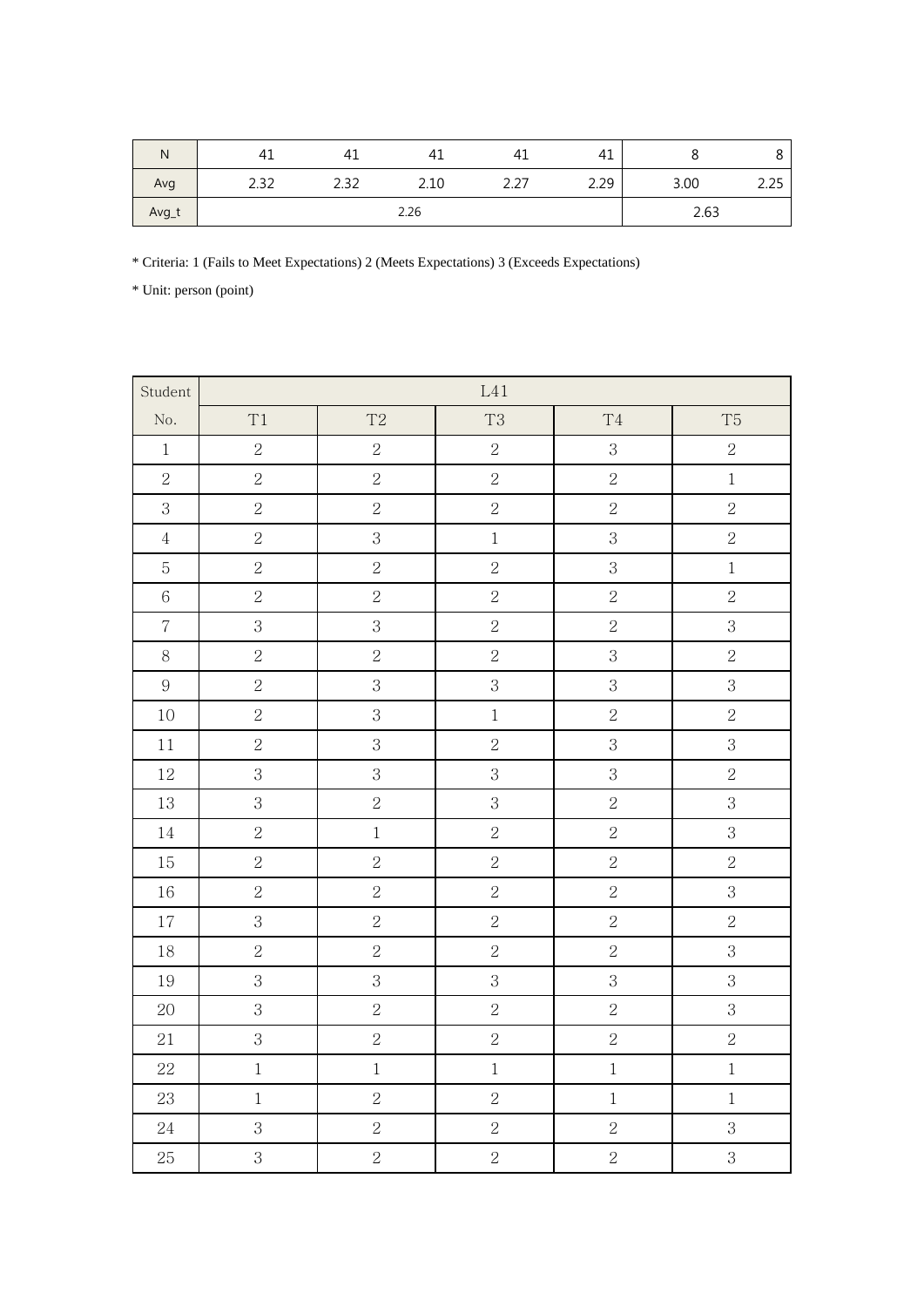| N     | 41          | 4⊥   | 41   | 41   | 41   |      | Ŏ    |
|-------|-------------|------|------|------|------|------|------|
| Avg   | 232<br>ے بے | 2.32 | 2.10 | 2.27 | 2.29 | 3.00 | 2.25 |
| Avg_t |             |      | 2.26 |      |      |      | 2.63 |

\* Criteria: 1 (Fails to Meet Expectations) 2 (Meets Expectations) 3 (Exceeds Expectations)

| Student                  |                |                | $\mbox{L}41$   |                |                |
|--------------------------|----------------|----------------|----------------|----------------|----------------|
| $\rm No.$                | T1             | T2             | T <sub>3</sub> | $\mathrm{T}4$  | T <sub>5</sub> |
| $\,1$                    | $\sqrt{2}$     | $\sqrt{2}$     | $\sqrt{2}$     | 3              | $\overline{2}$ |
| $\overline{2}$           | $\overline{2}$ | $\overline{2}$ | $\overline{2}$ | $\overline{2}$ | $\mathbf 1$    |
| $\overline{3}$           | $\overline{2}$ | $\overline{2}$ | $\overline{2}$ | $\overline{2}$ | $\overline{2}$ |
| $\,4\,$                  | $\overline{2}$ | $\overline{3}$ | $\overline{1}$ | $\overline{3}$ | $\overline{2}$ |
| $\overline{5}$           | $\sqrt{2}$     | $\sqrt{2}$     | $\sqrt{2}$     | 3              | $\mathbf 1$    |
| $\,6\,$                  | $\overline{2}$ | $\overline{2}$ | $\overline{2}$ | $\overline{2}$ | $\overline{2}$ |
| $\overline{\mathcal{C}}$ | $\overline{3}$ | $\mathbf{3}$   | $\sqrt{2}$     | $\overline{2}$ | $\overline{3}$ |
| $8\,$                    | $\overline{2}$ | $\overline{2}$ | $\overline{2}$ | $\overline{3}$ | $\overline{2}$ |
| $\,9$                    | $\overline{2}$ | $\overline{3}$ | $\overline{3}$ | 3              | $\overline{3}$ |
| 10                       | $\overline{2}$ | $\overline{3}$ | $\,1$          | $\overline{2}$ | $\overline{2}$ |
| $1\,1$                   | $\overline{2}$ | $\overline{3}$ | $\overline{2}$ | 3              | $\overline{3}$ |
| $12\,$                   | $\overline{3}$ | $\mathbf{3}$   | $\mathbf{3}$   | $\overline{3}$ | $\overline{2}$ |
| 13                       | 3              | $\overline{2}$ | 3              | $\overline{2}$ | $\overline{3}$ |
| 14                       | $\sqrt{2}$     | $\,1$          | $\sqrt{2}$     | $\overline{2}$ | $\overline{3}$ |
| $15\,$                   | $\overline{2}$ | $\overline{2}$ | $\overline{2}$ | $\overline{2}$ | $\overline{2}$ |
| 16                       | $\overline{2}$ | $\overline{2}$ | $\overline{2}$ | $\overline{2}$ | $\overline{3}$ |
| 17                       | $\overline{3}$ | $\overline{2}$ | $\sqrt{2}$     | $\overline{2}$ | $\overline{2}$ |
| 18                       | $\overline{2}$ | $\sqrt{2}$     | $\overline{2}$ | $\overline{2}$ | $\overline{3}$ |
| 19                       | $\overline{3}$ | $\overline{3}$ | $\overline{3}$ | $\overline{3}$ | $\overline{3}$ |
| 20                       | 3              | $\overline{2}$ | $\overline{2}$ | $\overline{2}$ | $\,3$          |
| 21                       | $\overline{3}$ | $\overline{2}$ | $\overline{2}$ | $\overline{2}$ | $\overline{2}$ |
| $22\,$                   | $\,1$          | $\,1$          | $\mathbf 1$    | $\,1$          | $\mathbf{1}$   |
| 23                       | $\,1$          | $\sqrt{2}$     | $\sqrt{2}$     | $\mathbf{1}$   | $\,1$          |
| 24                       | 3              | $\overline{2}$ | $\overline{2}$ | $\sqrt{2}$     | $\overline{3}$ |
| 25                       | $\overline{3}$ | $\overline{2}$ | $\overline{2}$ | $\overline{2}$ | $\overline{3}$ |